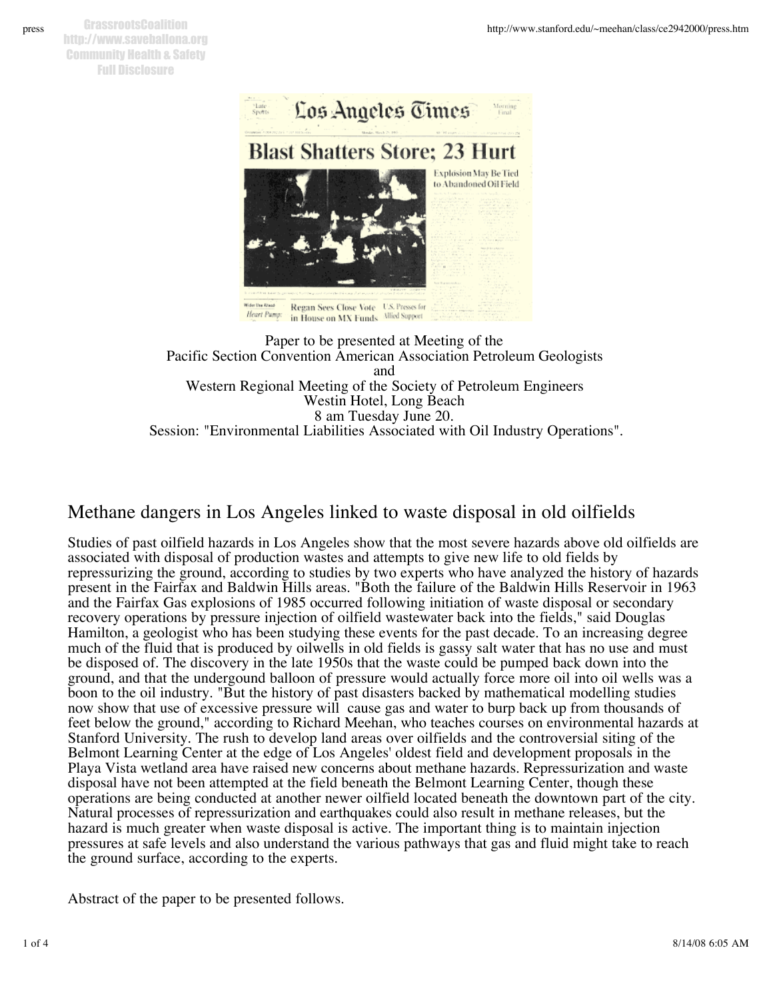

Paper to be presented at Meeting of the Pacific Section Convention American Association Petroleum Geologists and Western Regional Meeting of the Society of Petroleum Engineers Westin Hotel, Long Beach 8 am Tuesday June 20. Session: "Environmental Liabilities Associated with Oil Industry Operations".

## Methane dangers in Los Angeles linked to waste disposal in old oilfields

Studies of past oilfield hazards in Los Angeles show that the most severe hazards above old oilfields are associated with disposal of production wastes and attempts to give new life to old fields by repressurizing the ground, according to studies by two experts who have analyzed the history of hazards present in the Fairfax and Baldwin Hills areas. "Both the failure of the Baldwin Hills Reservoir in 1963 and the Fairfax Gas explosions of 1985 occurred following initiation of waste disposal or secondary recovery operations by pressure injection of oilfield wastewater back into the fields," said Douglas Hamilton, a geologist who has been studying these events for the past decade. To an increasing degree much of the fluid that is produced by oilwells in old fields is gassy salt water that has no use and must be disposed of. The discovery in the late 1950s that the waste could be pumped back down into the ground, and that the undergound balloon of pressure would actually force more oil into oil wells was a boon to the oil industry. "But the history of past disasters backed by mathematical modelling studies now show that use of excessive pressure will cause gas and water to burp back up from thousands of feet below the ground," according to Richard Meehan, who teaches courses on environmental hazards at Stanford University. The rush to develop land areas over oilfields and the controversial siting of the Belmont Learning Center at the edge of Los Angeles' oldest field and development proposals in the Playa Vista wetland area have raised new concerns about methane hazards. Repressurization and waste disposal have not been attempted at the field beneath the Belmont Learning Center, though these operations are being conducted at another newer oilfield located beneath the downtown part of the city. Natural processes of repressurization and earthquakes could also result in methane releases, but the hazard is much greater when waste disposal is active. The important thing is to maintain injection pressures at safe levels and also understand the various pathways that gas and fluid might take to reach the ground surface, according to the experts.

Abstract of the paper to be presented follows.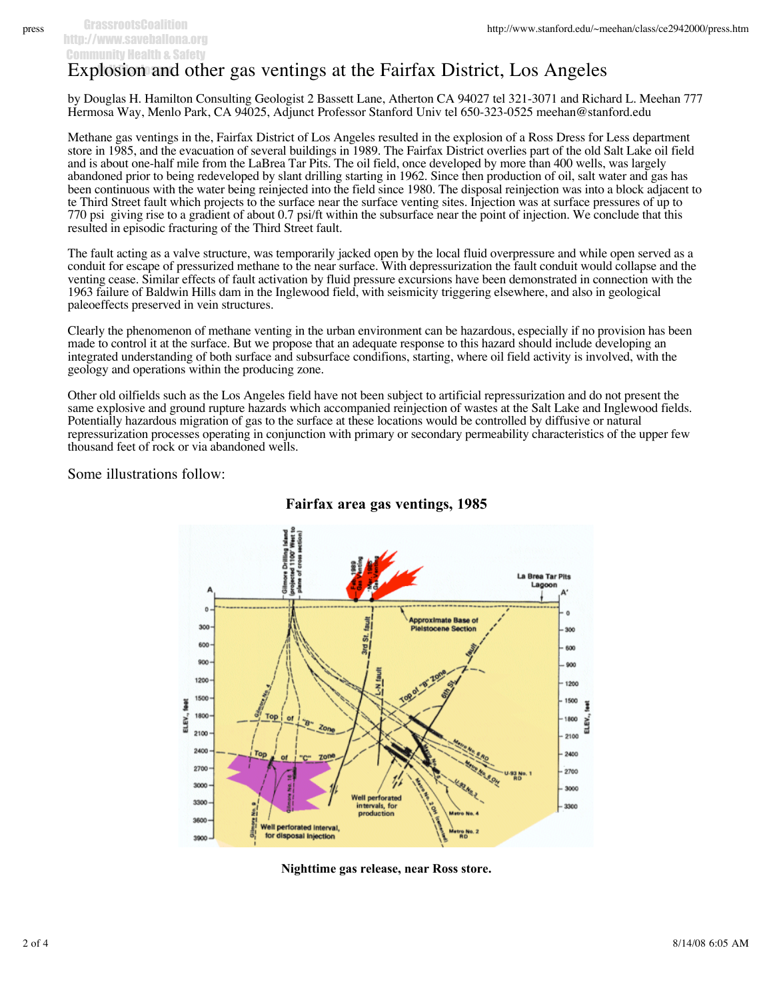## Explosion and other gas ventings at the Fairfax District, Los Angeles

by Douglas H. Hamilton Consulting Geologist 2 Bassett Lane, Atherton CA 94027 tel 321-3071 and Richard L. Meehan 777 Hermosa Way, Menlo Park, CA 94025, Adjunct Professor Stanford Univ tel 650-323-0525 meehan@stanford.edu

Methane gas ventings in the, Fairfax District of Los Angeles resulted in the explosion of a Ross Dress for Less department store in 1985, and the evacuation of several buildings in 1989. The Fairfax District overlies part of the old Salt Lake oil field and is about one-half mile from the LaBrea Tar Pits. The oil field, once developed by more than 400 wells, was largely abandoned prior to being redeveloped by slant drilling starting in 1962. Since then production of oil, salt water and gas has been continuous with the water being reinjected into the field since 1980. The disposal reinjection was into a block adjacent to te Third Street fault which projects to the surface near the surface venting sites. Injection was at surface pressures of up to 770 psi giving rise to a gradient of about 0.7 psi/ft within the subsurface near the point of injection. We conclude that this resulted in episodic fracturing of the Third Street fault.

The fault acting as a valve structure, was temporarily jacked open by the local fluid overpressure and while open served as a conduit for escape of pressurized methane to the near surface. With depressurization the fault conduit would collapse and the venting cease. Similar effects of fault activation by fluid pressure excursions have been demonstrated in connection with the 1963 failure of Baldwin Hills dam in the Inglewood field, with seismicity triggering elsewhere, and also in geological paleoeffects preserved in vein structures.

Clearly the phenomenon of methane venting in the urban environment can be hazardous, especially if no provision has been made to control it at the surface. But we propose that an adequate response to this hazard should include developing an integrated understanding of both surface and subsurface condifions, starting, where oil field activity is involved, with the geology and operations within the producing zone.

Other old oilfields such as the Los Angeles field have not been subject to artificial repressurization and do not present the same explosive and ground rupture hazards which accompanied reinjection of wastes at the Salt Lake and Inglewood fields. Potentially hazardous migration of gas to the surface at these locations would be controlled by diffusive or natural repressurization processes operating in conjunction with primary or secondary permeability characteristics of the upper few thousand feet of rock or via abandoned wells.

Some illustrations follow:



## **Fairfax area gas ventings, 1985**

**Nighttime gas release, near Ross store.**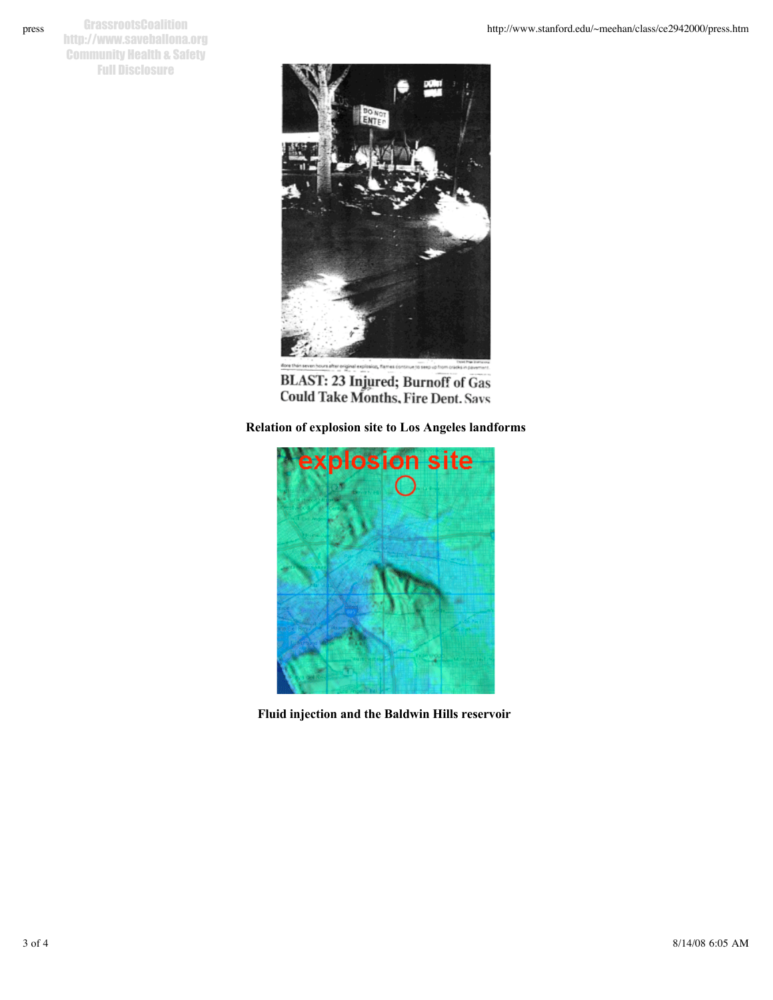**GrassrootsCoalition** http://www.saveballona.org Community Health & Safety Full Disclosure



**BLAST: 23 Injured; Burnoff of Gas<br>Could Take Months, Fire Dent. Savs** 

**Relation of explosion site to Los Angeles landforms**



**Fluid injection and the Baldwin Hills reservoir**